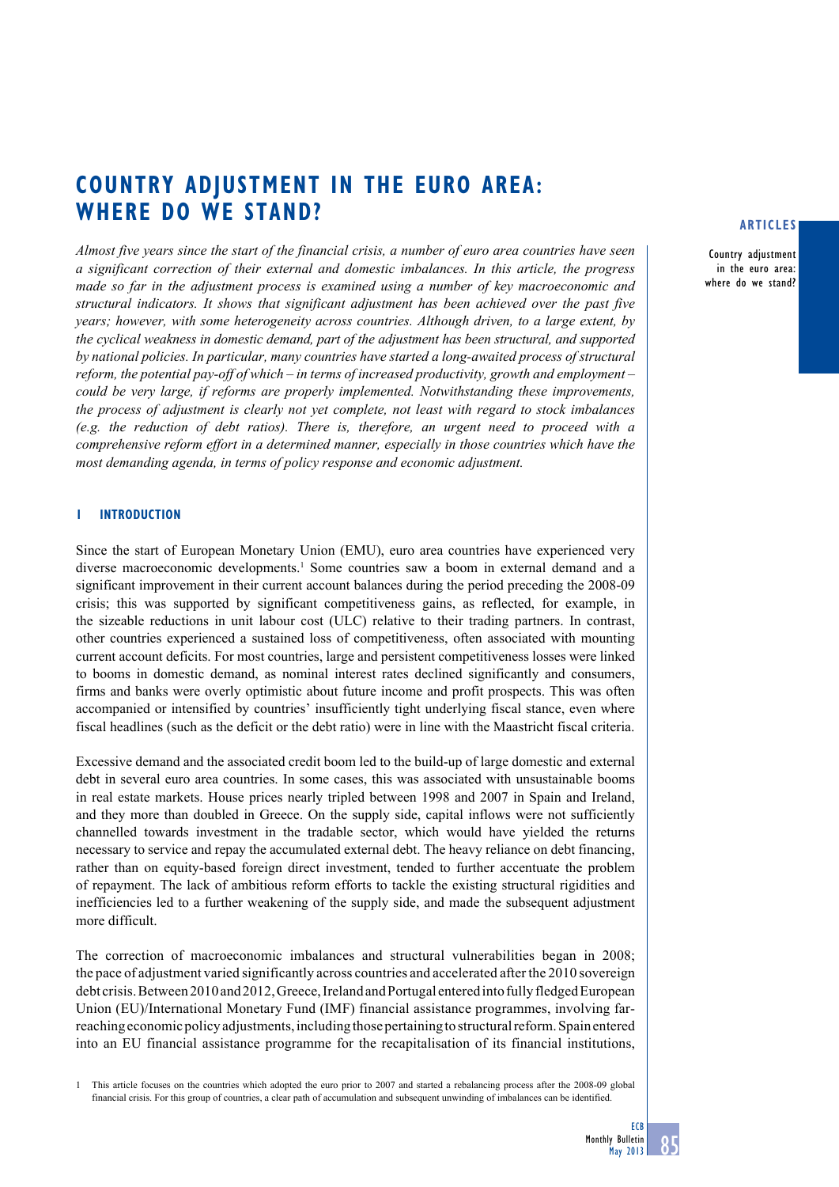# **COUNTRY ADJUSTMENT IN THE EURO AREA: WHERE DO WE STAND?**

*Almost five years since the start of the financial crisis, a number of euro area countries have seen a significant correction of their external and domestic imbalances. In this article, the progress made so far in the adjustment process is examined using a number of key macroeconomic and structural indicators. It shows that significant adjustment has been achieved over the past five years; however, with some heterogeneity across countries. Although driven, to a large extent, by the cyclical weakness in domestic demand, part of the adjustment has been structural, and supported by national policies. In particular, many countries have started a long-awaited process of structural reform, the potential pay-off of which – in terms of increased productivity, growth and employment – could be very large, if reforms are properly implemented. Notwithstanding these improvements, the process of adjustment is clearly not yet complete, not least with regard to stock imbalances (e.g. the reduction of debt ratios). There is, therefore, an urgent need to proceed with a comprehensive reform effort in a determined manner, especially in those countries which have the most demanding agenda, in terms of policy response and economic adjustment.* 

# **1 INTRODUCTION**

Since the start of European Monetary Union (EMU), euro area countries have experienced very diverse macroeconomic developments.<sup>1</sup> Some countries saw a boom in external demand and a significant improvement in their current account balances during the period preceding the 2008-09 crisis; this was supported by significant competitiveness gains, as reflected, for example, in the sizeable reductions in unit labour cost (ULC) relative to their trading partners. In contrast, other countries experienced a sustained loss of competitiveness, often associated with mounting current account deficits. For most countries, large and persistent competitiveness losses were linked to booms in domestic demand, as nominal interest rates declined significantly and consumers, firms and banks were overly optimistic about future income and profit prospects. This was often accompanied or intensified by countries' insufficiently tight underlying fiscal stance, even where fiscal headlines (such as the deficit or the debt ratio) were in line with the Maastricht fiscal criteria.

Excessive demand and the associated credit boom led to the build-up of large domestic and external debt in several euro area countries. In some cases, this was associated with unsustainable booms in real estate markets. House prices nearly tripled between 1998 and 2007 in Spain and Ireland, and they more than doubled in Greece. On the supply side, capital inflows were not sufficiently channelled towards investment in the tradable sector, which would have yielded the returns necessary to service and repay the accumulated external debt. The heavy reliance on debt financing, rather than on equity-based foreign direct investment, tended to further accentuate the problem of repayment. The lack of ambitious reform efforts to tackle the existing structural rigidities and inefficiencies led to a further weakening of the supply side, and made the subsequent adjustment more difficult.

The correction of macroeconomic imbalances and structural vulnerabilities began in 2008; the pace of adjustment varied significantly across countries and accelerated after the 2010 sovereign debt crisis. Between 2010 and 2012, Greece, Ireland and Portugal entered into fully fledged European Union (EU)/International Monetary Fund (IMF) financial assistance programmes, involving farreaching economic policy adjustments, including those pertaining to structural reform. Spain entered into an EU financial assistance programme for the recapitalisation of its financial institutions,

1 This article focuses on the countries which adopted the euro prior to 2007 and started a rebalancing process after the 2008-09 global financial crisis. For this group of countries, a clear path of accumulation and subsequent unwinding of imbalances can be identified.

# **articles**

Country adjustment in the euro area: where do we stand?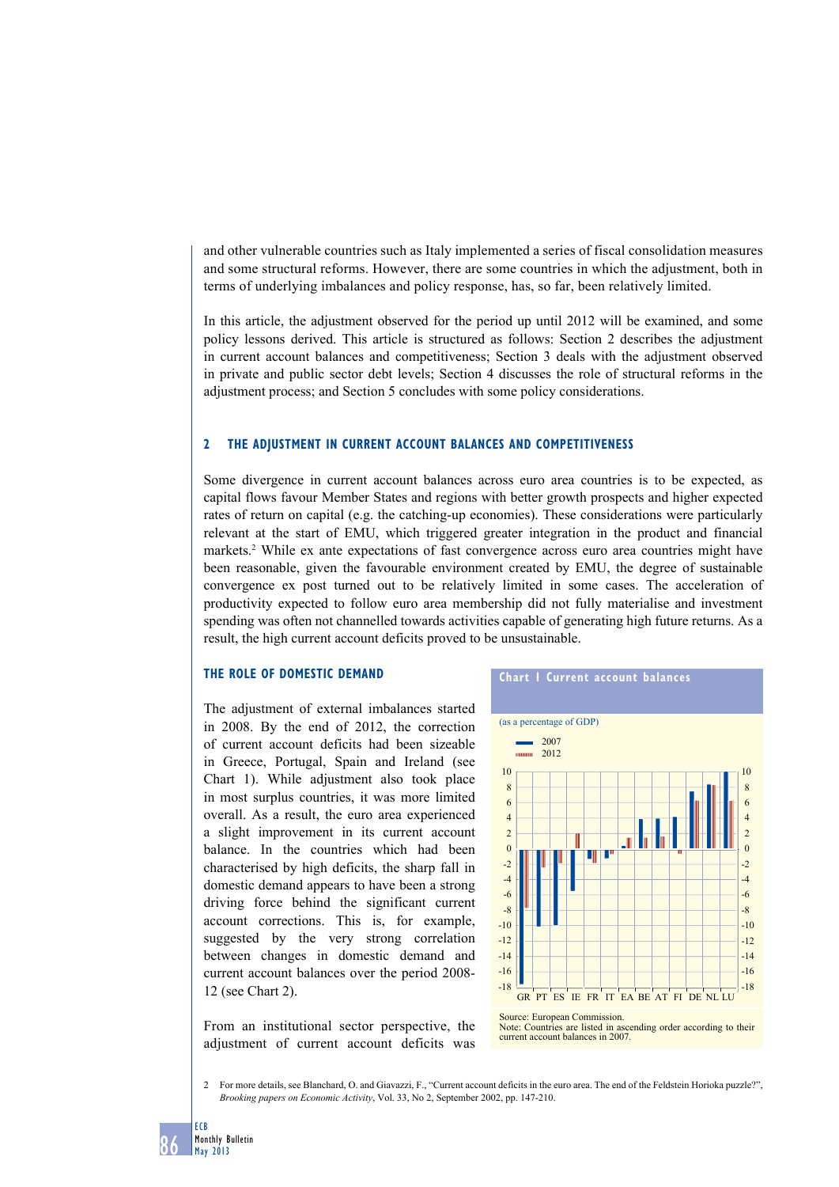and other vulnerable countries such as Italy implemented a series of fiscal consolidation measures and some structural reforms. However, there are some countries in which the adjustment, both in terms of underlying imbalances and policy response, has, so far, been relatively limited.

In this article, the adjustment observed for the period up until 2012 will be examined, and some policy lessons derived. This article is structured as follows: Section 2 describes the adjustment in current account balances and competitiveness; Section 3 deals with the adjustment observed in private and public sector debt levels; Section 4 discusses the role of structural reforms in the adjustment process; and Section 5 concludes with some policy considerations.

# **2 the AdJuStment in Current ACCount bAlAnCeS And ComPetitiVeneSS**

Some divergence in current account balances across euro area countries is to be expected, as capital flows favour Member States and regions with better growth prospects and higher expected rates of return on capital (e.g. the catching-up economies). These considerations were particularly relevant at the start of EMU, which triggered greater integration in the product and financial markets.<sup>2</sup> While ex ante expectations of fast convergence across euro area countries might have been reasonable, given the favourable environment created by EMU, the degree of sustainable convergence ex post turned out to be relatively limited in some cases. The acceleration of productivity expected to follow euro area membership did not fully materialise and investment spending was often not channelled towards activities capable of generating high future returns. As a result, the high current account deficits proved to be unsustainable.

# **THE ROLE OF DOMESTIC DEMAND**

The adjustment of external imbalances started in 2008. By the end of 2012, the correction of current account deficits had been sizeable in Greece, Portugal, Spain and Ireland (see Chart 1). While adjustment also took place in most surplus countries, it was more limited overall. As a result, the euro area experienced a slight improvement in its current account balance. In the countries which had been characterised by high deficits, the sharp fall in domestic demand appears to have been a strong driving force behind the significant current account corrections. This is, for example, suggested by the very strong correlation between changes in domestic demand and current account balances over the period 2008- 12 (see Chart 2).

From an institutional sector perspective, the adjustment of current account deficits was



Note: Countries are listed in ascending order according to their current account balances in 2007.

2 For more details, see Blanchard, O. and Giavazzi, F., "Current account deficits in the euro area. The end of the Feldstein Horioka puzzle?", *Brooking papers on Economic Activity*, Vol. 33, No 2, September 2002, pp. 147-210.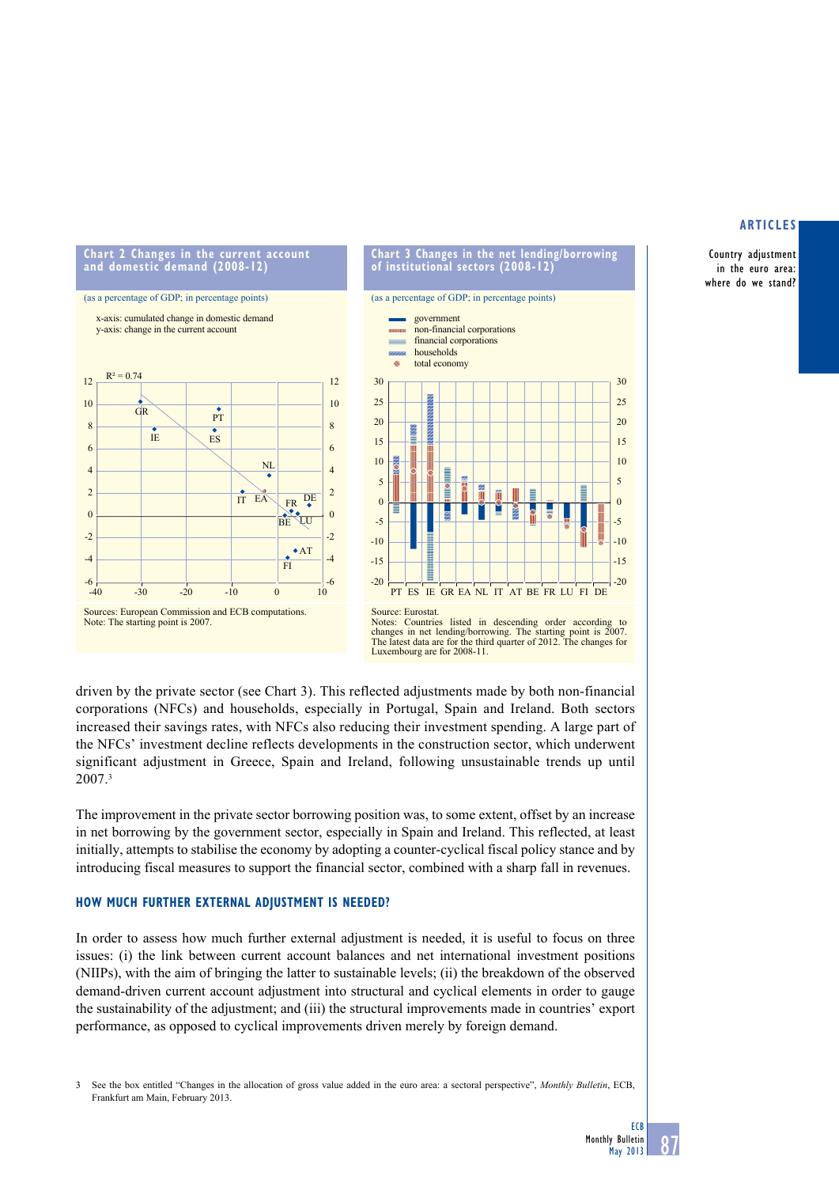Country adjustment in the euro area: where do we stand?



(as a percentage of GDP; in percentage points) government non-financial corporations financial corporations households total economy 30  $25$  $20$ 15 10 5 **POL** í Ē Ě Ш E  $\overline{0}$ -5 -10 -15 -20 PT ES IE GR EA NL IT AT BE FR LU FI DE Source: Eurostat.

Notes: Countries listed in descending order according to changes in net lending/borrowing. The starting point is 2007. The latest data are for the third quarter of 2012. The changes for Luxembourg are for 2008-11.

driven by the private sector (see Chart 3). This reflected adjustments made by both non-financial corporations (NFCs) and households, especially in Portugal, Spain and Ireland. Both sectors increased their savings rates, with NFCs also reducing their investment spending. A large part of the NFCs' investment decline reflects developments in the construction sector, which underwent significant adjustment in Greece, Spain and Ireland, following unsustainable trends up until 2007.3

The improvement in the private sector borrowing position was, to some extent, offset by an increase in net borrowing by the government sector, especially in Spain and Ireland. This reflected, at least initially, attempts to stabilise the economy by adopting a counter-cyclical fiscal policy stance and by introducing fiscal measures to support the financial sector, combined with a sharp fall in revenues.

# **how muCh further eXternAl AdJuStment iS needed?**

In order to assess how much further external adjustment is needed, it is useful to focus on three issues: (i) the link between current account balances and net international investment positions (NIIPs), with the aim of bringing the latter to sustainable levels; (ii) the breakdown of the observed demand-driven current account adjustment into structural and cyclical elements in order to gauge the sustainability of the adjustment; and (iii) the structural improvements made in countries' export performance, as opposed to cyclical improvements driven merely by foreign demand.

3 See the box entitled "Changes in the allocation of gross value added in the euro area: a sectoral perspective", *Monthly Bulletin*, ECB, Frankfurt am Main, February 2013.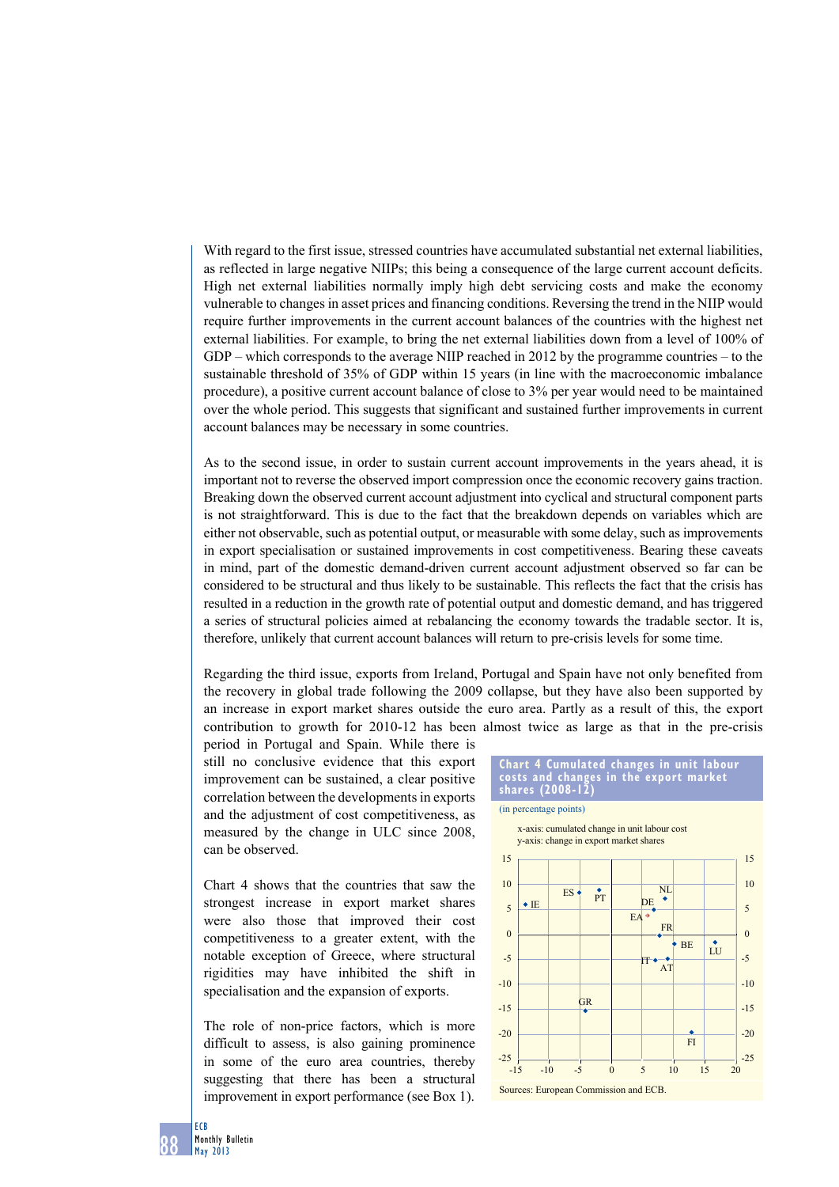With regard to the first issue, stressed countries have accumulated substantial net external liabilities, as reflected in large negative NIIPs; this being a consequence of the large current account deficits. High net external liabilities normally imply high debt servicing costs and make the economy vulnerable to changes in asset prices and financing conditions. Reversing the trend in the NIIP would require further improvements in the current account balances of the countries with the highest net external liabilities. For example, to bring the net external liabilities down from a level of 100% of GDP – which corresponds to the average NIIP reached in 2012 by the programme countries – to the sustainable threshold of 35% of GDP within 15 years (in line with the macroeconomic imbalance procedure), a positive current account balance of close to 3% per year would need to be maintained over the whole period. This suggests that significant and sustained further improvements in current account balances may be necessary in some countries.

As to the second issue, in order to sustain current account improvements in the years ahead, it is important not to reverse the observed import compression once the economic recovery gains traction. Breaking down the observed current account adjustment into cyclical and structural component parts is not straightforward. This is due to the fact that the breakdown depends on variables which are either not observable, such as potential output, or measurable with some delay, such as improvements in export specialisation or sustained improvements in cost competitiveness. Bearing these caveats in mind, part of the domestic demand-driven current account adjustment observed so far can be considered to be structural and thus likely to be sustainable. This reflects the fact that the crisis has resulted in a reduction in the growth rate of potential output and domestic demand, and has triggered a series of structural policies aimed at rebalancing the economy towards the tradable sector. It is, therefore, unlikely that current account balances will return to pre-crisis levels for some time.

Regarding the third issue, exports from Ireland, Portugal and Spain have not only benefited from the recovery in global trade following the 2009 collapse, but they have also been supported by an increase in export market shares outside the euro area. Partly as a result of this, the export contribution to growth for 2010-12 has been almost twice as large as that in the pre-crisis

period in Portugal and Spain. While there is still no conclusive evidence that this export improvement can be sustained, a clear positive correlation between the developments in exports and the adjustment of cost competitiveness, as measured by the change in ULC since 2008, can be observed.

Chart 4 shows that the countries that saw the strongest increase in export market shares were also those that improved their cost competitiveness to a greater extent, with the notable exception of Greece, where structural rigidities may have inhibited the shift in specialisation and the expansion of exports.

The role of non-price factors, which is more difficult to assess, is also gaining prominence in some of the euro area countries, thereby suggesting that there has been a structural improvement in export performance (see Box 1).



88 ECB Monthly Bulletin May 2013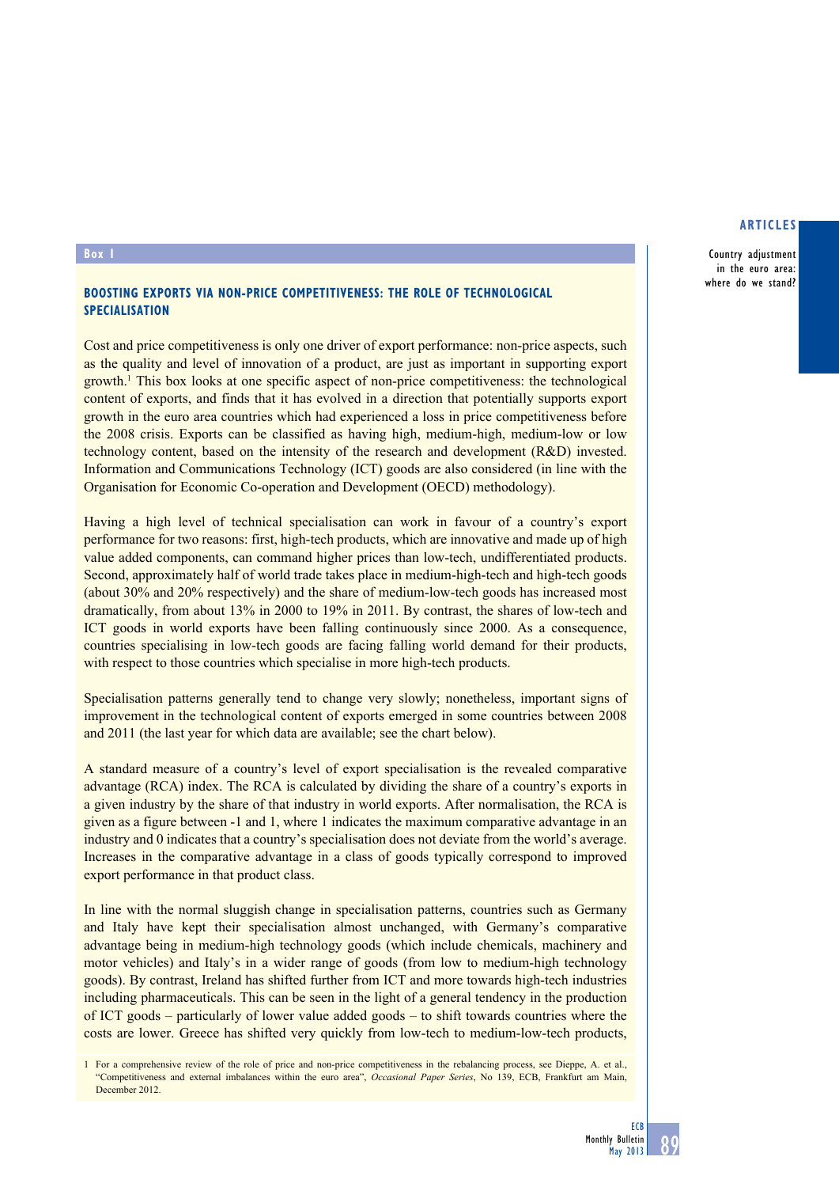## **articles**

Country adjustment in the euro area: where do we stand?

#### **Box 1**

# **Boosting exports via non-price competitiveness: the role of technological specialisation**

Cost and price competitiveness is only one driver of export performance: non-price aspects, such as the quality and level of innovation of a product, are just as important in supporting export growth.<sup>1</sup> This box looks at one specific aspect of non-price competitiveness: the technological content of exports, and finds that it has evolved in a direction that potentially supports export growth in the euro area countries which had experienced a loss in price competitiveness before the 2008 crisis. Exports can be classified as having high, medium-high, medium-low or low technology content, based on the intensity of the research and development (R&D) invested. Information and Communications Technology (ICT) goods are also considered (in line with the Organisation for Economic Co-operation and Development (OECD) methodology).

Having a high level of technical specialisation can work in favour of a country's export performance for two reasons: first, high-tech products, which are innovative and made up of high value added components, can command higher prices than low-tech, undifferentiated products. Second, approximately half of world trade takes place in medium-high-tech and high-tech goods (about 30% and 20% respectively) and the share of medium-low-tech goods has increased most dramatically, from about 13% in 2000 to 19% in 2011. By contrast, the shares of low-tech and ICT goods in world exports have been falling continuously since 2000. As a consequence, countries specialising in low-tech goods are facing falling world demand for their products, with respect to those countries which specialise in more high-tech products.

Specialisation patterns generally tend to change very slowly; nonetheless, important signs of improvement in the technological content of exports emerged in some countries between 2008 and 2011 (the last year for which data are available; see the chart below).

A standard measure of a country's level of export specialisation is the revealed comparative advantage (RCA) index. The RCA is calculated by dividing the share of a country's exports in a given industry by the share of that industry in world exports. After normalisation, the RCA is given as a figure between -1 and 1, where 1 indicates the maximum comparative advantage in an industry and 0 indicates that a country's specialisation does not deviate from the world's average. Increases in the comparative advantage in a class of goods typically correspond to improved export performance in that product class.

In line with the normal sluggish change in specialisation patterns, countries such as Germany and Italy have kept their specialisation almost unchanged, with Germany's comparative advantage being in medium-high technology goods (which include chemicals, machinery and motor vehicles) and Italy's in a wider range of goods (from low to medium-high technology goods). By contrast, Ireland has shifted further from ICT and more towards high-tech industries including pharmaceuticals. This can be seen in the light of a general tendency in the production of ICT goods – particularly of lower value added goods – to shift towards countries where the costs are lower. Greece has shifted very quickly from low-tech to medium-low-tech products,

1 For a comprehensive review of the role of price and non-price competitiveness in the rebalancing process, see Dieppe, A. et al., "Competitiveness and external imbalances within the euro area", *Occasional Paper Series*, No 139, ECB, Frankfurt am Main, December 2012.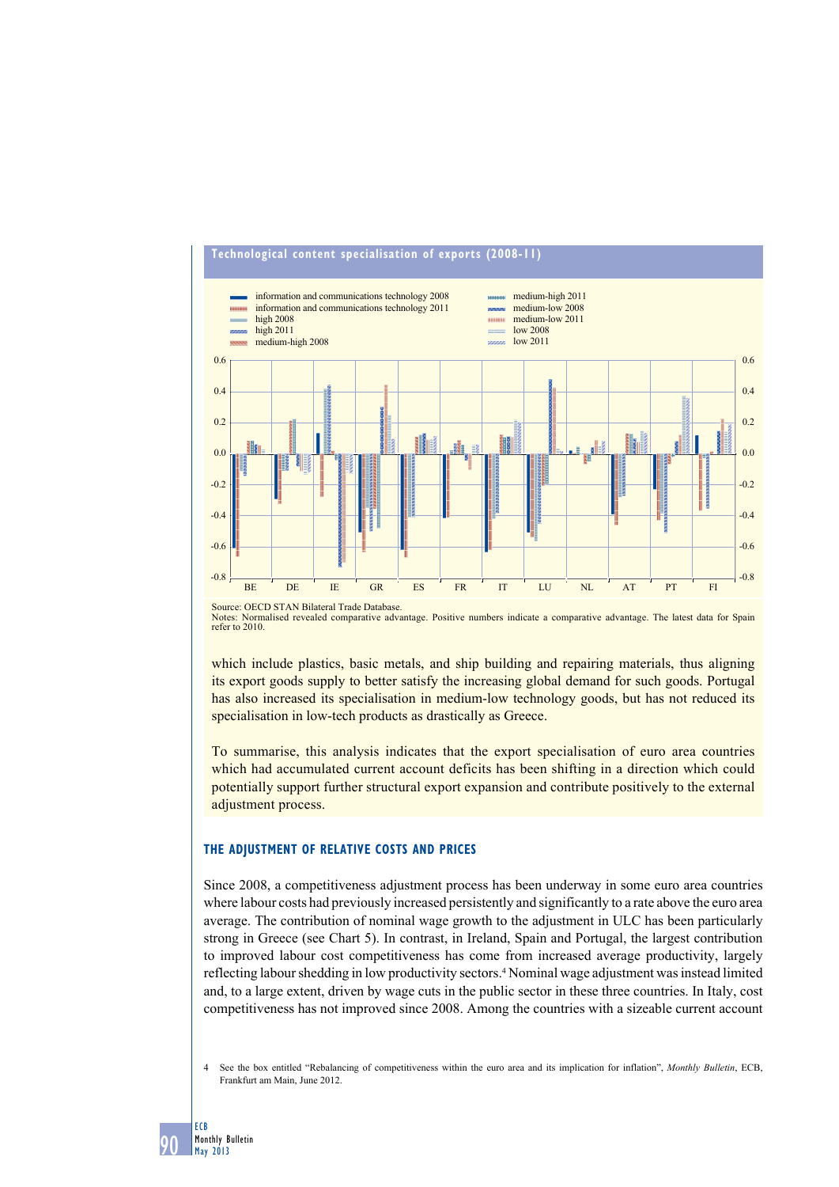

# **technological content specialisation of exports (2008-11)**

Source: OECD STAN Bilateral Trade Database. Notes: Normalised revealed comparative advantage. Positive numbers indicate a comparative advantage. The latest data for Spain refer to 2010.

which include plastics, basic metals, and ship building and repairing materials, thus aligning its export goods supply to better satisfy the increasing global demand for such goods. Portugal has also increased its specialisation in medium-low technology goods, but has not reduced its specialisation in low-tech products as drastically as Greece.

To summarise, this analysis indicates that the export specialisation of euro area countries which had accumulated current account deficits has been shifting in a direction which could potentially support further structural export expansion and contribute positively to the external adjustment process.

#### **the AdJuStment of relAtiVe CoStS And PriCeS**

Since 2008, a competitiveness adjustment process has been underway in some euro area countries where labour costs had previously increased persistently and significantly to a rate above the euro area average. The contribution of nominal wage growth to the adjustment in ULC has been particularly strong in Greece (see Chart 5). In contrast, in Ireland, Spain and Portugal, the largest contribution to improved labour cost competitiveness has come from increased average productivity, largely reflecting labour shedding in low productivity sectors.<sup>4</sup> Nominal wage adjustment was instead limited and, to a large extent, driven by wage cuts in the public sector in these three countries. In Italy, cost competitiveness has not improved since 2008. Among the countries with a sizeable current account

4 See the box entitled "Rebalancing of competitiveness within the euro area and its implication for inflation", *Monthly Bulletin*, ECB, Frankfurt am Main, June 2012.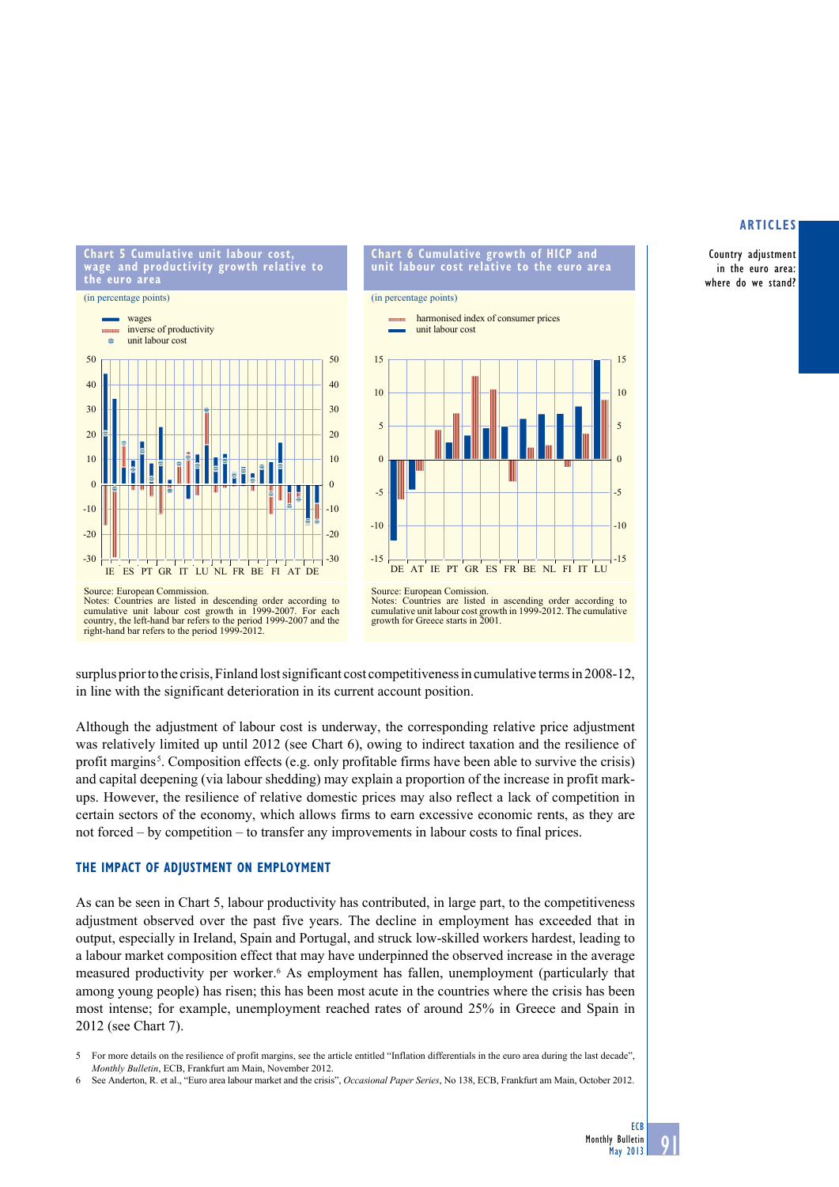Country adjustment in the euro area: where do we stand?







Source: European Commission. Notes: Countries are listed in descending order according to cumulative unit labour cost growth in 1999-2007. For each country, the left-hand bar refers to the period 1999-2007 and the Figure 2011, the left-hand bar refers to the period 1999-2007 and the right-hand bar refers to the period 1999-2012.

in line with the significant deterioration in its current account position.

surplus prior to the crisis, Finland lost significant cost competitiveness in cumulative terms in 2008-12,

growth for Greece starts in 2001.

Although the adjustment of labour cost is underway, the corresponding relative price adjustment was relatively limited up until 2012 (see Chart 6), owing to indirect taxation and the resilience of profit margins<sup>5</sup>. Composition effects (e.g. only profitable firms have been able to survive the crisis) and capital deepening (via labour shedding) may explain a proportion of the increase in profit markups. However, the resilience of relative domestic prices may also reflect a lack of competition in certain sectors of the economy, which allows firms to earn excessive economic rents, as they are not forced – by competition – to transfer any improvements in labour costs to final prices.

#### **the imPACt of AdJuStment on emPloyment**

As can be seen in Chart 5, labour productivity has contributed, in large part, to the competitiveness adjustment observed over the past five years. The decline in employment has exceeded that in output, especially in Ireland, Spain and Portugal, and struck low-skilled workers hardest, leading to a labour market composition effect that may have underpinned the observed increase in the average measured productivity per worker.<sup>6</sup> As employment has fallen, unemployment (particularly that among young people) has risen; this has been most acute in the countries where the crisis has been most intense; for example, unemployment reached rates of around 25% in Greece and Spain in 2012 (see Chart 7).

<sup>5</sup> For more details on the resilience of profit margins, see the article entitled "Inflation differentials in the euro area during the last decade", *Monthly Bulletin*, ECB, Frankfurt am Main, November 2012.

<sup>6</sup> See Anderton, R. et al., "Euro area labour market and the crisis", *Occasional Paper Series*, No 138, ECB, Frankfurt am Main, October 2012.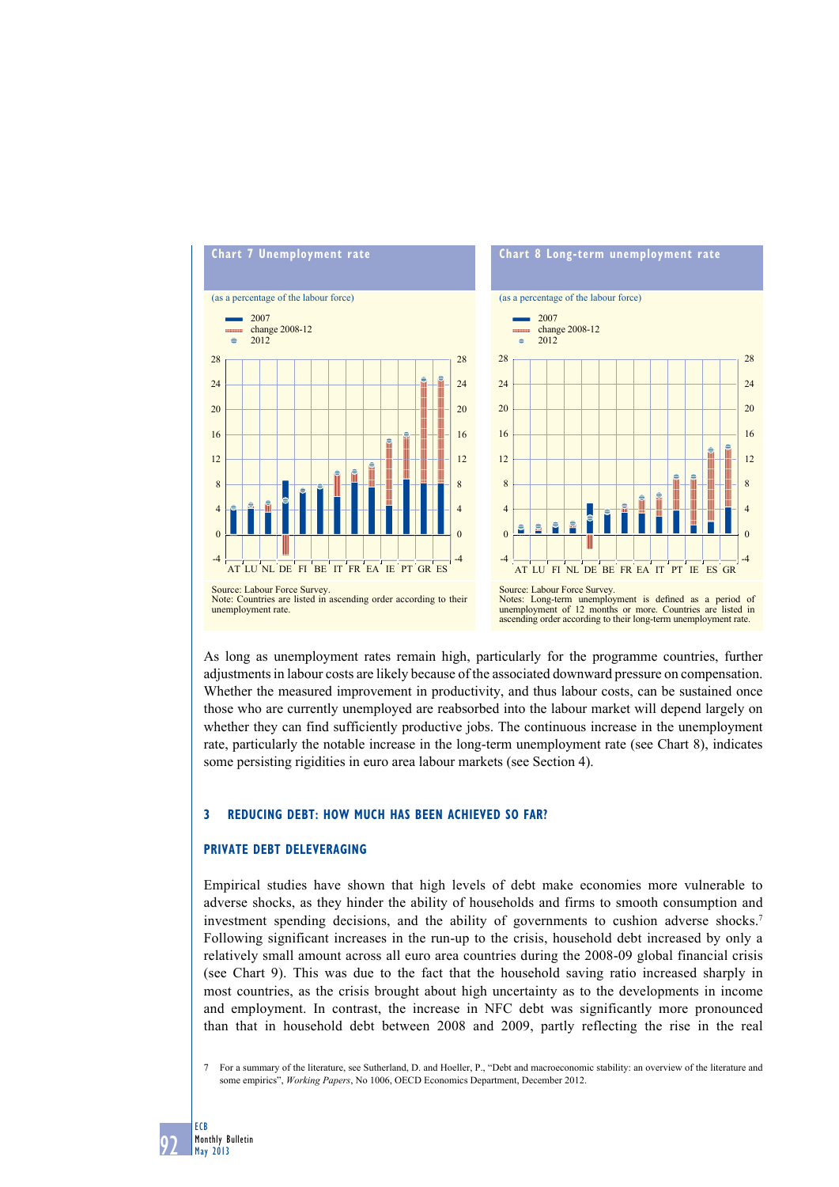

As long as unemployment rates remain high, particularly for the programme countries, further adjustments in labour costs are likely because of the associated downward pressure on compensation. Whether the measured improvement in productivity, and thus labour costs, can be sustained once those who are currently unemployed are reabsorbed into the labour market will depend largely on whether they can find sufficiently productive jobs. The continuous increase in the unemployment rate, particularly the notable increase in the long-term unemployment rate (see Chart 8), indicates some persisting rigidities in euro area labour markets (see Section 4).

# **3 reduCing debt: how muCh hAS been AChieVed So fAr?**

#### **PriVAte debt deleVerAging**

Empirical studies have shown that high levels of debt make economies more vulnerable to adverse shocks, as they hinder the ability of households and firms to smooth consumption and investment spending decisions, and the ability of governments to cushion adverse shocks.7 Following significant increases in the run-up to the crisis, household debt increased by only a relatively small amount across all euro area countries during the 2008-09 global financial crisis (see Chart 9). This was due to the fact that the household saving ratio increased sharply in most countries, as the crisis brought about high uncertainty as to the developments in income and employment. In contrast, the increase in NFC debt was significantly more pronounced than that in household debt between 2008 and 2009, partly reflecting the rise in the real

7 For a summary of the literature, see Sutherland, D. and Hoeller, P., "Debt and macroeconomic stability: an overview of the literature and some empirics", *Working Papers*, No 1006, OECD Economics Department, December 2012.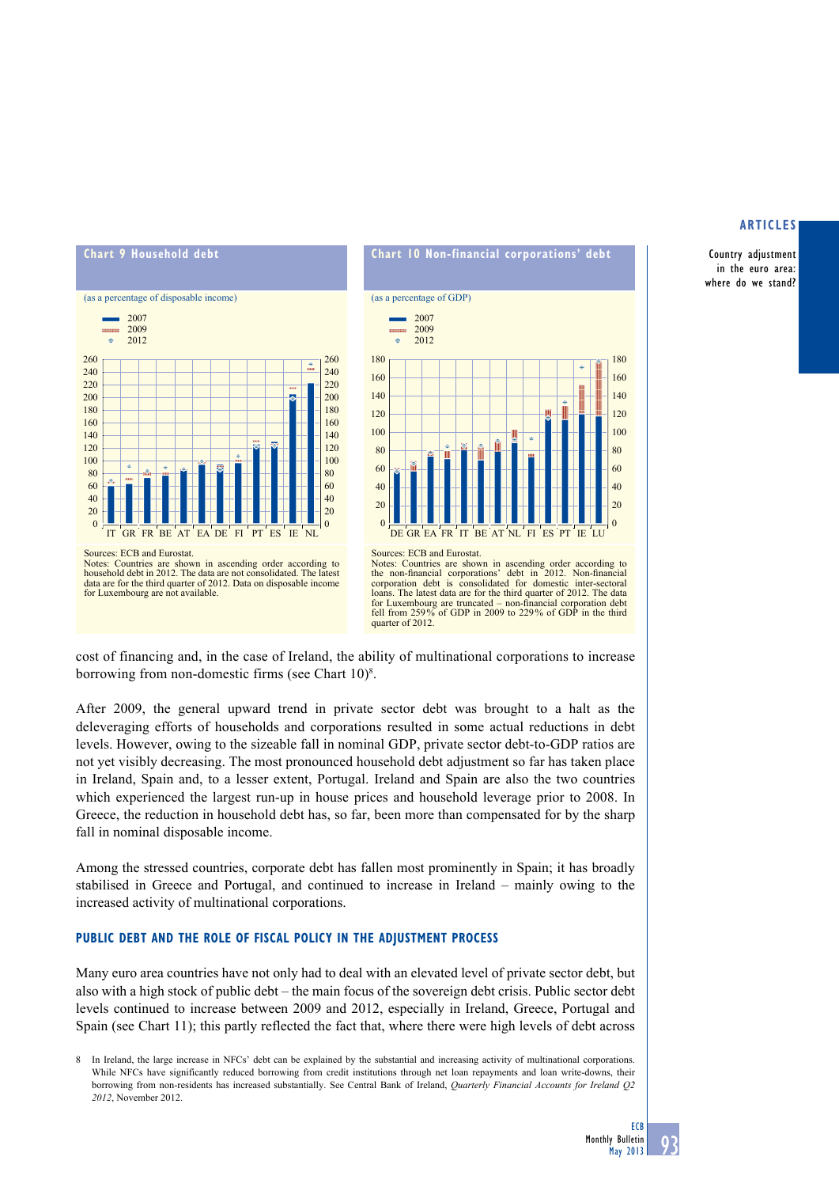Country adjustment in the euro area: where do we stand?





Notes: Countries are shown in ascending order according to the non-financial corporations' debt in 2012. Non-financial corporation debt is consolidated for domestic inter-sectoral loans. The latest data are for the third quarter of 2012. The data for Luxembourg are truncated – non-financial corporation debt fell from 259% of GDP in 2009 to 229% of GDP in the third quarter of 2012

cost of financing and, in the case of Ireland, the ability of multinational corporations to increase borrowing from non-domestic firms (see Chart  $10$ <sup>8</sup>.

After 2009, the general upward trend in private sector debt was brought to a halt as the deleveraging efforts of households and corporations resulted in some actual reductions in debt levels. However, owing to the sizeable fall in nominal GDP, private sector debt-to-GDP ratios are not yet visibly decreasing. The most pronounced household debt adjustment so far has taken place in Ireland, Spain and, to a lesser extent, Portugal. Ireland and Spain are also the two countries which experienced the largest run-up in house prices and household leverage prior to 2008. In Greece, the reduction in household debt has, so far, been more than compensated for by the sharp fall in nominal disposable income.

Among the stressed countries, corporate debt has fallen most prominently in Spain; it has broadly stabilised in Greece and Portugal, and continued to increase in Ireland – mainly owing to the increased activity of multinational corporations.

# **PubliC debt And the role of fiSCAl PoliCy in the AdJuStment ProCeSS**

Many euro area countries have not only had to deal with an elevated level of private sector debt, but also with a high stock of public debt – the main focus of the sovereign debt crisis. Public sector debt levels continued to increase between 2009 and 2012, especially in Ireland, Greece, Portugal and Spain (see Chart 11); this partly reflected the fact that, where there were high levels of debt across

In Ireland, the large increase in NFCs' debt can be explained by the substantial and increasing activity of multinational corporations. While NFCs have significantly reduced borrowing from credit institutions through net loan repayments and loan write-downs, their borrowing from non-residents has increased substantially. See Central Bank of Ireland, *Quarterly Financial Accounts for Ireland Q2 2012*, November 2012.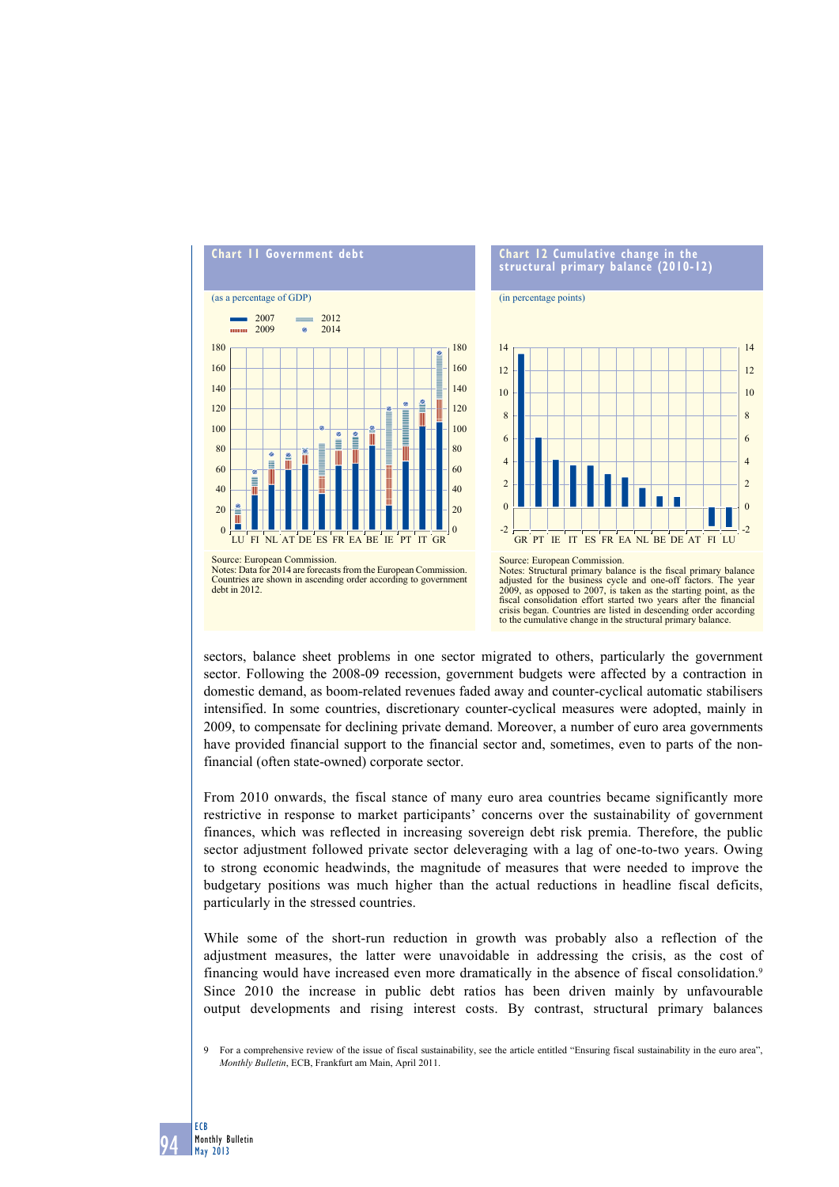

sectors, balance sheet problems in one sector migrated to others, particularly the government sector. Following the 2008-09 recession, government budgets were affected by a contraction in domestic demand, as boom-related revenues faded away and counter-cyclical automatic stabilisers intensified. In some countries, discretionary counter-cyclical measures were adopted, mainly in 2009, to compensate for declining private demand. Moreover, a number of euro area governments have provided financial support to the financial sector and, sometimes, even to parts of the nonfinancial (often state-owned) corporate sector.

From 2010 onwards, the fiscal stance of many euro area countries became significantly more restrictive in response to market participants' concerns over the sustainability of government finances, which was reflected in increasing sovereign debt risk premia. Therefore, the public sector adjustment followed private sector deleveraging with a lag of one-to-two years. Owing to strong economic headwinds, the magnitude of measures that were needed to improve the budgetary positions was much higher than the actual reductions in headline fiscal deficits, particularly in the stressed countries.

While some of the short-run reduction in growth was probably also a reflection of the adjustment measures, the latter were unavoidable in addressing the crisis, as the cost of financing would have increased even more dramatically in the absence of fiscal consolidation.9 Since 2010 the increase in public debt ratios has been driven mainly by unfavourable output developments and rising interest costs. By contrast, structural primary balances

9 For a comprehensive review of the issue of fiscal sustainability, see the article entitled "Ensuring fiscal sustainability in the euro area", *Monthly Bulletin*, ECB, Frankfurt am Main, April 2011.

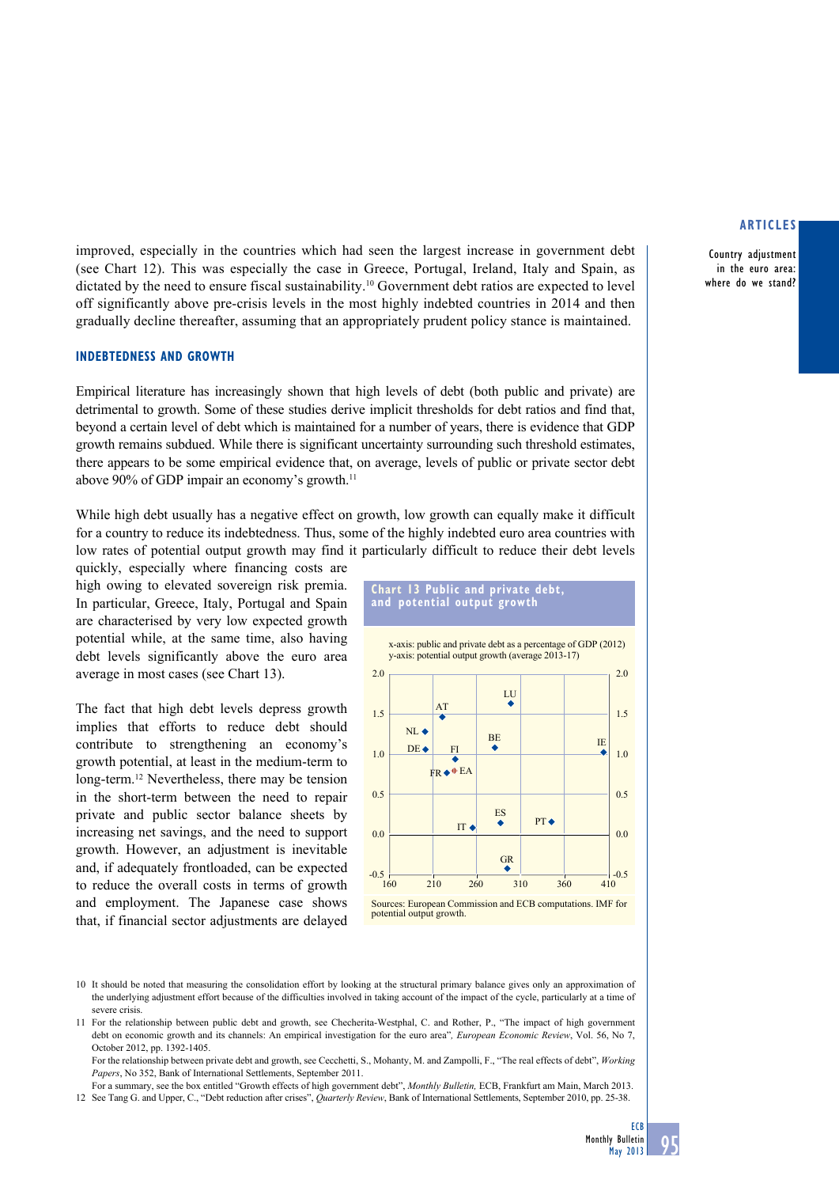Country adjustment in the euro area: where do we stand?

improved, especially in the countries which had seen the largest increase in government debt (see Chart 12). This was especially the case in Greece, Portugal, Ireland, Italy and Spain, as dictated by the need to ensure fiscal sustainability.10 Government debt ratios are expected to level off significantly above pre-crisis levels in the most highly indebted countries in 2014 and then gradually decline thereafter, assuming that an appropriately prudent policy stance is maintained.

#### **indebtedneSS And growth**

Empirical literature has increasingly shown that high levels of debt (both public and private) are detrimental to growth. Some of these studies derive implicit thresholds for debt ratios and find that, beyond a certain level of debt which is maintained for a number of years, there is evidence that GDP growth remains subdued. While there is significant uncertainty surrounding such threshold estimates, there appears to be some empirical evidence that, on average, levels of public or private sector debt above 90% of GDP impair an economy's growth.<sup>11</sup>

While high debt usually has a negative effect on growth, low growth can equally make it difficult for a country to reduce its indebtedness. Thus, some of the highly indebted euro area countries with low rates of potential output growth may find it particularly difficult to reduce their debt levels

quickly, especially where financing costs are high owing to elevated sovereign risk premia. In particular, Greece, Italy, Portugal and Spain are characterised by very low expected growth potential while, at the same time, also having debt levels significantly above the euro area average in most cases (see Chart 13).

The fact that high debt levels depress growth implies that efforts to reduce debt should contribute to strengthening an economy's growth potential, at least in the medium-term to long-term.12 Nevertheless, there may be tension in the short-term between the need to repair private and public sector balance sheets by increasing net savings, and the need to support growth. However, an adjustment is inevitable and, if adequately frontloaded, can be expected to reduce the overall costs in terms of growth and employment. The Japanese case shows that, if financial sector adjustments are delayed





<sup>10</sup> It should be noted that measuring the consolidation effort by looking at the structural primary balance gives only an approximation of the underlying adjustment effort because of the difficulties involved in taking account of the impact of the cycle, particularly at a time of severe crisis.

 For the relationship between private debt and growth, see Cecchetti, S., Mohanty, M. and Zampolli, F., "The real effects of debt", *Working Papers*, No 352, Bank of International Settlements, September 2011.

 For a summary, see the box entitled "Growth effects of high government debt", *Monthly Bulletin,* ECB, Frankfurt am Main, March 2013. 12 See Tang G. and Upper, C., "Debt reduction after crises", *Quarterly Review*, Bank of International Settlements, September 2010, pp. 25-38.

<sup>11</sup> For the relationship between public debt and growth, see Checherita-Westphal, C. and Rother, P., "The impact of high government debt on economic growth and its channels: An empirical investigation for the euro area"*, European Economic Review*, Vol. 56, No 7, October 2012, pp. 1392-1405.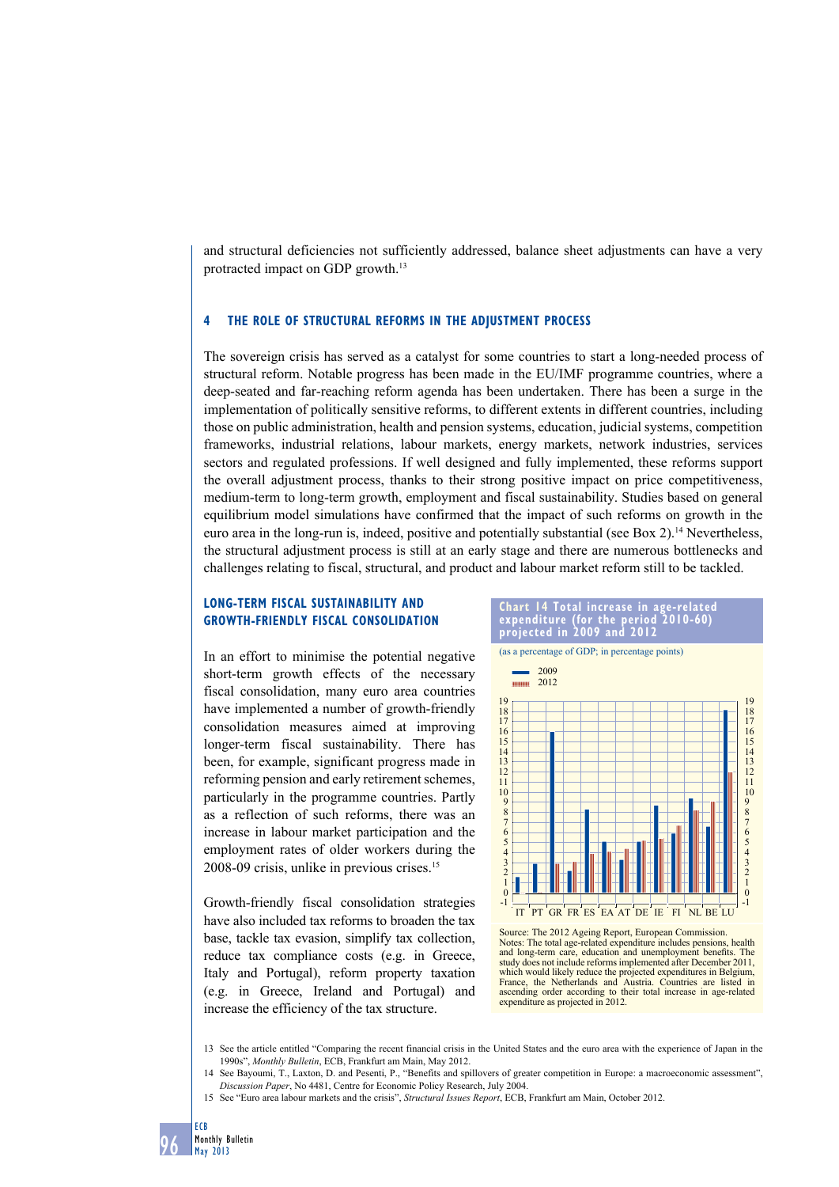and structural deficiencies not sufficiently addressed, balance sheet adjustments can have a very protracted impact on GDP growth.13

# **4 the role of StruCturAl reformS in the AdJuStment ProCeSS**

The sovereign crisis has served as a catalyst for some countries to start a long-needed process of structural reform. Notable progress has been made in the EU/IMF programme countries, where a deep-seated and far-reaching reform agenda has been undertaken. There has been a surge in the implementation of politically sensitive reforms, to different extents in different countries, including those on public administration, health and pension systems, education, judicial systems, competition frameworks, industrial relations, labour markets, energy markets, network industries, services sectors and regulated professions. If well designed and fully implemented, these reforms support the overall adjustment process, thanks to their strong positive impact on price competitiveness, medium-term to long-term growth, employment and fiscal sustainability. Studies based on general equilibrium model simulations have confirmed that the impact of such reforms on growth in the euro area in the long-run is, indeed, positive and potentially substantial (see Box 2).14 Nevertheless, the structural adjustment process is still at an early stage and there are numerous bottlenecks and challenges relating to fiscal, structural, and product and labour market reform still to be tackled.

# **long-term fiSCAl SuStAinAbility And growth-friendly fiSCAl ConSolidAtion**

In an effort to minimise the potential negative short-term growth effects of the necessary fiscal consolidation, many euro area countries have implemented a number of growth-friendly consolidation measures aimed at improving longer-term fiscal sustainability. There has been, for example, significant progress made in reforming pension and early retirement schemes, particularly in the programme countries. Partly as a reflection of such reforms, there was an increase in labour market participation and the employment rates of older workers during the 2008-09 crisis, unlike in previous crises.15

Growth-friendly fiscal consolidation strategies have also included tax reforms to broaden the tax base, tackle tax evasion, simplify tax collection, reduce tax compliance costs (e.g. in Greece, Italy and Portugal), reform property taxation (e.g. in Greece, Ireland and Portugal) and increase the efficiency of the tax structure.



Source: The 2012 Ageing Report, European Commission. Notes: The total age-related expenditure includes pensions, health and long-term care, education and unemployment benefits. The study does not include reforms implemented after December 2011, which would likely reduce the projected expenditures in Belgium, France, the Netherlands and Austria. Countries are listed in ascending order according to their total increase in age-related expenditure as projected in 2012.

13 See the article entitled "Comparing the recent financial crisis in the United States and the euro area with the experience of Japan in the 1990s", *Monthly Bulletin*, ECB, Frankfurt am Main, May 2012.

- See Bayoumi, T., Laxton, D. and Pesenti, P., "Benefits and spillovers of greater competition in Europe: a macroeconomic assessment", *Discussion Paper*, No 4481, Centre for Economic Policy Research, July 2004.
- 15 See "Euro area labour markets and the crisis", *Structural Issues Report*, ECB, Frankfurt am Main, October 2012.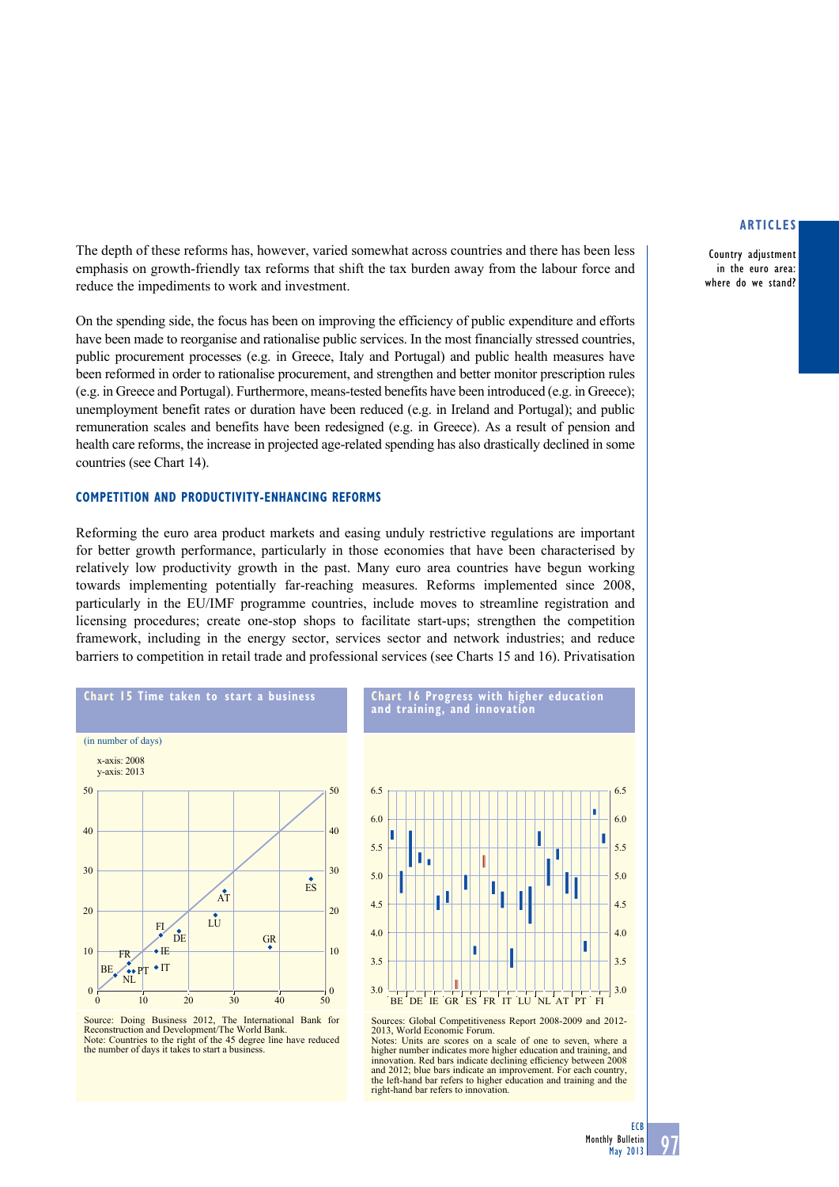Country adjustment in the euro area: where do we stand?

The depth of these reforms has, however, varied somewhat across countries and there has been less emphasis on growth-friendly tax reforms that shift the tax burden away from the labour force and reduce the impediments to work and investment.

On the spending side, the focus has been on improving the efficiency of public expenditure and efforts have been made to reorganise and rationalise public services. In the most financially stressed countries, public procurement processes (e.g. in Greece, Italy and Portugal) and public health measures have been reformed in order to rationalise procurement, and strengthen and better monitor prescription rules (e.g. in Greece and Portugal). Furthermore, means-tested benefits have been introduced (e.g. in Greece); unemployment benefit rates or duration have been reduced (e.g. in Ireland and Portugal); and public remuneration scales and benefits have been redesigned (e.g. in Greece). As a result of pension and health care reforms, the increase in projected age-related spending has also drastically declined in some countries (see Chart 14).

# **ComPetition And ProduCtiVity-enhAnCing reformS**

Reforming the euro area product markets and easing unduly restrictive regulations are important for better growth performance, particularly in those economies that have been characterised by relatively low productivity growth in the past. Many euro area countries have begun working towards implementing potentially far-reaching measures. Reforms implemented since 2008, particularly in the EU/IMF programme countries, include moves to streamline registration and licensing procedures; create one-stop shops to facilitate start-ups; strengthen the competition framework, including in the energy sector, services sector and network industries; and reduce barriers to competition in retail trade and professional services (see Charts 15 and 16). Privatisation



Source: Doing Business 2012, The International Bank for Reconstruction and Development/The World Bank. Note: Countries to the right of the 45 degree line have reduced the number of days it takes to start a business.



**Chart 16 Progress with higher education** 

**and training, and innovation**

Sources: Global Competitiveness Report 2008-2009 and 2012- 2013, World Economic Forum. Notes: Units are scores on a scale of one to seven, where a higher number indicates more higher education and training, and innovation. Red bars indicate declining efficiency between 2008 and 2012; blue bars indicate an improvement. For each country, the left-hand bar refers to higher education and training and the right-hand bar refers to innovation.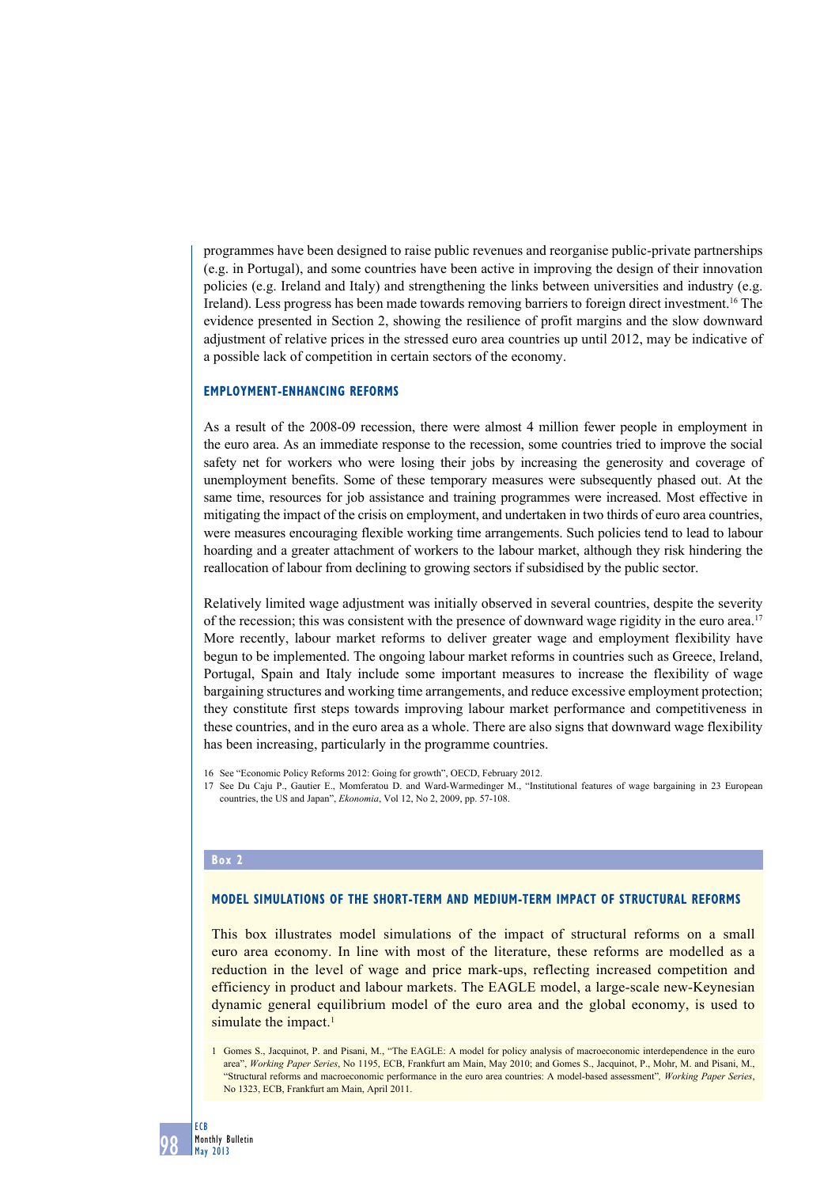programmes have been designed to raise public revenues and reorganise public-private partnerships (e.g. in Portugal), and some countries have been active in improving the design of their innovation policies (e.g. Ireland and Italy) and strengthening the links between universities and industry (e.g. Ireland). Less progress has been made towards removing barriers to foreign direct investment.16 The evidence presented in Section 2, showing the resilience of profit margins and the slow downward adjustment of relative prices in the stressed euro area countries up until 2012, may be indicative of a possible lack of competition in certain sectors of the economy.

# **Employment-enhancing reforms**

As a result of the 2008-09 recession, there were almost 4 million fewer people in employment in the euro area. As an immediate response to the recession, some countries tried to improve the social safety net for workers who were losing their jobs by increasing the generosity and coverage of unemployment benefits. Some of these temporary measures were subsequently phased out. At the same time, resources for job assistance and training programmes were increased. Most effective in mitigating the impact of the crisis on employment, and undertaken in two thirds of euro area countries, were measures encouraging flexible working time arrangements. Such policies tend to lead to labour hoarding and a greater attachment of workers to the labour market, although they risk hindering the reallocation of labour from declining to growing sectors if subsidised by the public sector.

Relatively limited wage adjustment was initially observed in several countries, despite the severity of the recession; this was consistent with the presence of downward wage rigidity in the euro area.17 More recently, labour market reforms to deliver greater wage and employment flexibility have begun to be implemented. The ongoing labour market reforms in countries such as Greece, Ireland, Portugal, Spain and Italy include some important measures to increase the flexibility of wage bargaining structures and working time arrangements, and reduce excessive employment protection; they constitute first steps towards improving labour market performance and competitiveness in these countries, and in the euro area as a whole. There are also signs that downward wage flexibility has been increasing, particularly in the programme countries.

16 See "Economic Policy Reforms 2012: Going for growth", OECD, February 2012.

17 See Du Caju P., Gautier E., Momferatou D. and Ward-Warmedinger M., "Institutional features of wage bargaining in 23 European countries, the US and Japan", *Ekonomia*, Vol 12, No 2, 2009, pp. 57-108.

#### **Box 2**

#### **Model simulations of the short-term and medium-term impact of structural reforms**

This box illustrates model simulations of the impact of structural reforms on a small euro area economy. In line with most of the literature, these reforms are modelled as a reduction in the level of wage and price mark-ups, reflecting increased competition and efficiency in product and labour markets. The EAGLE model, a large-scale new-Keynesian dynamic general equilibrium model of the euro area and the global economy, is used to simulate the impact.<sup>1</sup>

<sup>1</sup> Gomes S., Jacquinot, P. and Pisani, M., "The EAGLE: A model for policy analysis of macroeconomic interdependence in the euro area", *Working Paper Series*, No 1195, ECB, Frankfurt am Main, May 2010; and Gomes S., Jacquinot, P., Mohr, M. and Pisani, M., "Structural reforms and macroeconomic performance in the euro area countries: A model-based assessment"*, Working Paper Series*, No 1323, ECB, Frankfurt am Main, April 2011.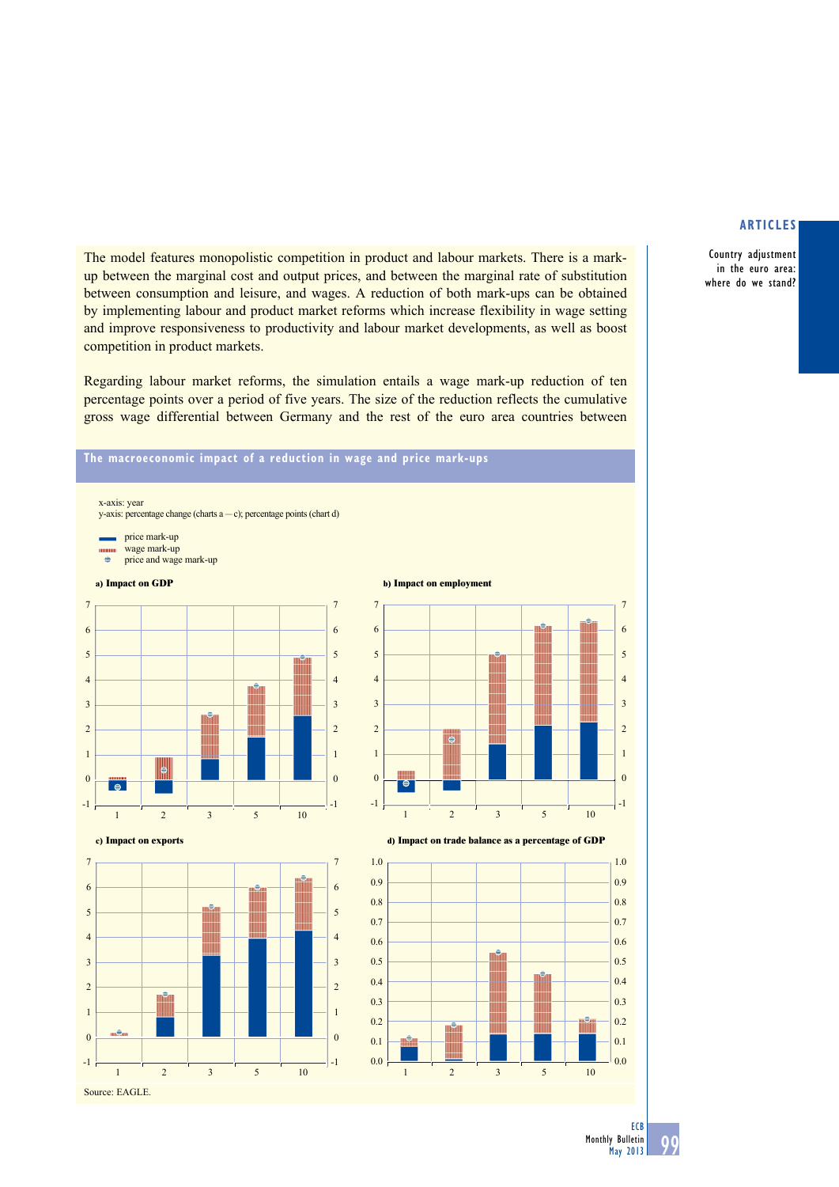Country adjustment in the euro area: where do we stand?

The model features monopolistic competition in product and labour markets. There is a markup between the marginal cost and output prices, and between the marginal rate of substitution between consumption and leisure, and wages. A reduction of both mark-ups can be obtained by implementing labour and product market reforms which increase flexibility in wage setting and improve responsiveness to productivity and labour market developments, as well as boost competition in product markets.

Regarding labour market reforms, the simulation entails a wage mark-up reduction of ten percentage points over a period of five years. The size of the reduction reflects the cumulative gross wage differential between Germany and the rest of the euro area countries between

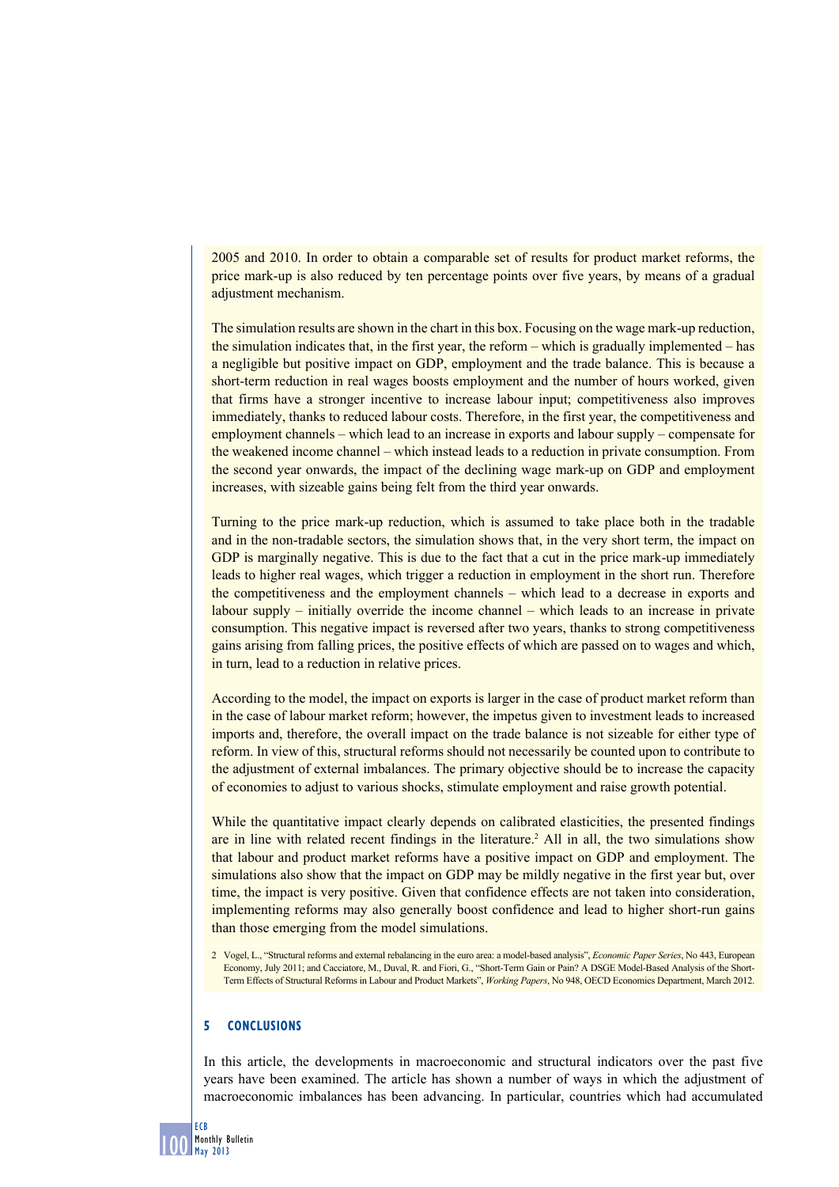2005 and 2010. In order to obtain a comparable set of results for product market reforms, the price mark-up is also reduced by ten percentage points over five years, by means of a gradual adjustment mechanism.

The simulation results are shown in the chart in this box. Focusing on the wage mark-up reduction, the simulation indicates that, in the first year, the reform – which is gradually implemented – has a negligible but positive impact on GDP, employment and the trade balance. This is because a short-term reduction in real wages boosts employment and the number of hours worked, given that firms have a stronger incentive to increase labour input; competitiveness also improves immediately, thanks to reduced labour costs. Therefore, in the first year, the competitiveness and employment channels – which lead to an increase in exports and labour supply – compensate for the weakened income channel – which instead leads to a reduction in private consumption. From the second year onwards, the impact of the declining wage mark-up on GDP and employment increases, with sizeable gains being felt from the third year onwards.

Turning to the price mark-up reduction, which is assumed to take place both in the tradable and in the non-tradable sectors, the simulation shows that, in the very short term, the impact on GDP is marginally negative. This is due to the fact that a cut in the price mark-up immediately leads to higher real wages, which trigger a reduction in employment in the short run. Therefore the competitiveness and the employment channels – which lead to a decrease in exports and labour supply – initially override the income channel – which leads to an increase in private consumption. This negative impact is reversed after two years, thanks to strong competitiveness gains arising from falling prices, the positive effects of which are passed on to wages and which, in turn, lead to a reduction in relative prices.

According to the model, the impact on exports is larger in the case of product market reform than in the case of labour market reform; however, the impetus given to investment leads to increased imports and, therefore, the overall impact on the trade balance is not sizeable for either type of reform. In view of this, structural reforms should not necessarily be counted upon to contribute to the adjustment of external imbalances. The primary objective should be to increase the capacity of economies to adjust to various shocks, stimulate employment and raise growth potential.

While the quantitative impact clearly depends on calibrated elasticities, the presented findings are in line with related recent findings in the literature.<sup>2</sup> All in all, the two simulations show that labour and product market reforms have a positive impact on GDP and employment. The simulations also show that the impact on GDP may be mildly negative in the first year but, over time, the impact is very positive. Given that confidence effects are not taken into consideration, implementing reforms may also generally boost confidence and lead to higher short-run gains than those emerging from the model simulations.

2 Vogel, L., "Structural reforms and external rebalancing in the euro area: a model-based analysis", *Economic Paper Series*, No 443, European Economy, July 2011; and Cacciatore, M., Duval, R. and Fiori, G., "Short-Term Gain or Pain? A DSGE Model-Based Analysis of the Short-Term Effects of Structural Reforms in Labour and Product Markets", *Working Papers*, No 948, OECD Economics Department, March 2012.

# **5 Conclusions**

In this article, the developments in macroeconomic and structural indicators over the past five years have been examined. The article has shown a number of ways in which the adjustment of macroeconomic imbalances has been advancing. In particular, countries which had accumulated